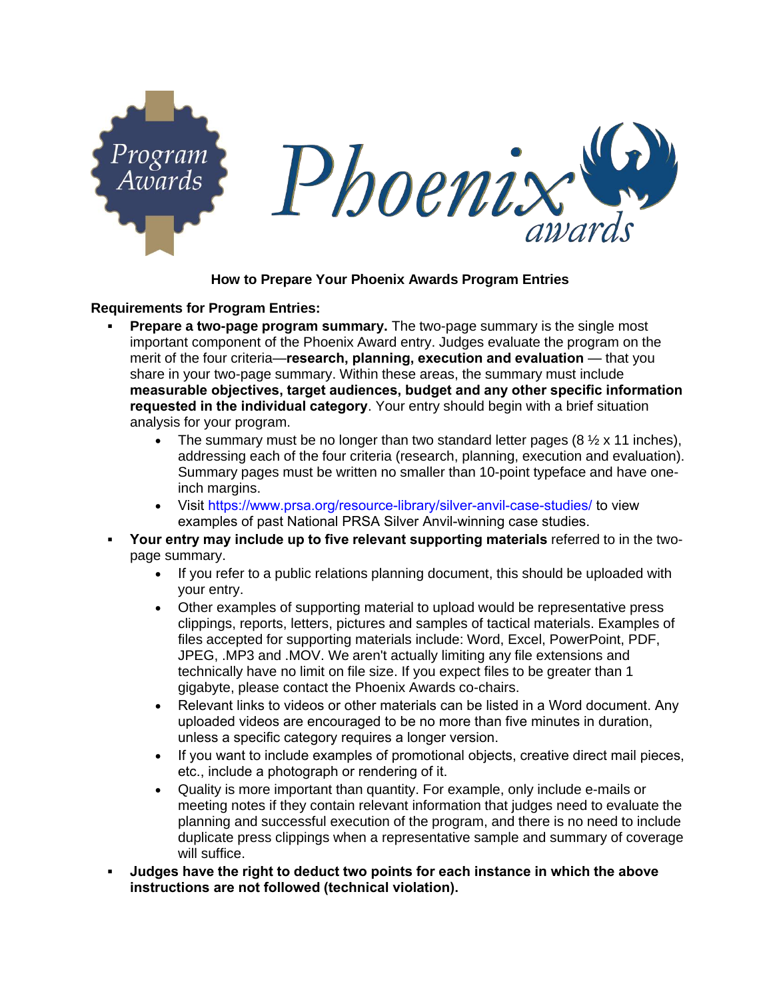

## **How to Prepare Your Phoenix Awards Program Entries**

#### **Requirements for Program Entries:**

- **Prepare a two-page program summary.** The two-page summary is the single most important component of the Phoenix Award entry. Judges evaluate the program on the merit of the four criteria—**research, planning, execution and evaluation** — that you share in your two-page summary. Within these areas, the summary must include **measurable objectives, target audiences, budget and any other specific information requested in the individual category**. Your entry should begin with a brief situation analysis for your program.
	- The summary must be no longer than two standard letter pages (8  $\frac{1}{2}$  x 11 inches), addressing each of the four criteria (research, planning, execution and evaluation). Summary pages must be written no smaller than 10-point typeface and have oneinch margins.
	- Visit <https://www.prsa.org/resource-library/silver-anvil-case-studies/> to view examples of past National PRSA Silver Anvil-winning case studies.
- **Your entry may include up to five relevant supporting materials** referred to in the twopage summary.
	- If you refer to a public relations planning document, this should be uploaded with your entry.
	- Other examples of supporting material to upload would be representative press clippings, reports, letters, pictures and samples of tactical materials. Examples of files accepted for supporting materials include: Word, Excel, PowerPoint, PDF, JPEG, .MP3 and .MOV. We aren't actually limiting any file extensions and technically have no limit on file size. If you expect files to be greater than 1 gigabyte, please contact the Phoenix Awards co-chairs.
	- Relevant links to videos or other materials can be listed in a Word document. Any uploaded videos are encouraged to be no more than five minutes in duration, unless a specific category requires a longer version.
	- If you want to include examples of promotional objects, creative direct mail pieces, etc., include a photograph or rendering of it.
	- Quality is more important than quantity. For example, only include e-mails or meeting notes if they contain relevant information that judges need to evaluate the planning and successful execution of the program, and there is no need to include duplicate press clippings when a representative sample and summary of coverage will suffice.
- **Judges have the right to deduct two points for each instance in which the above instructions are not followed (technical violation).**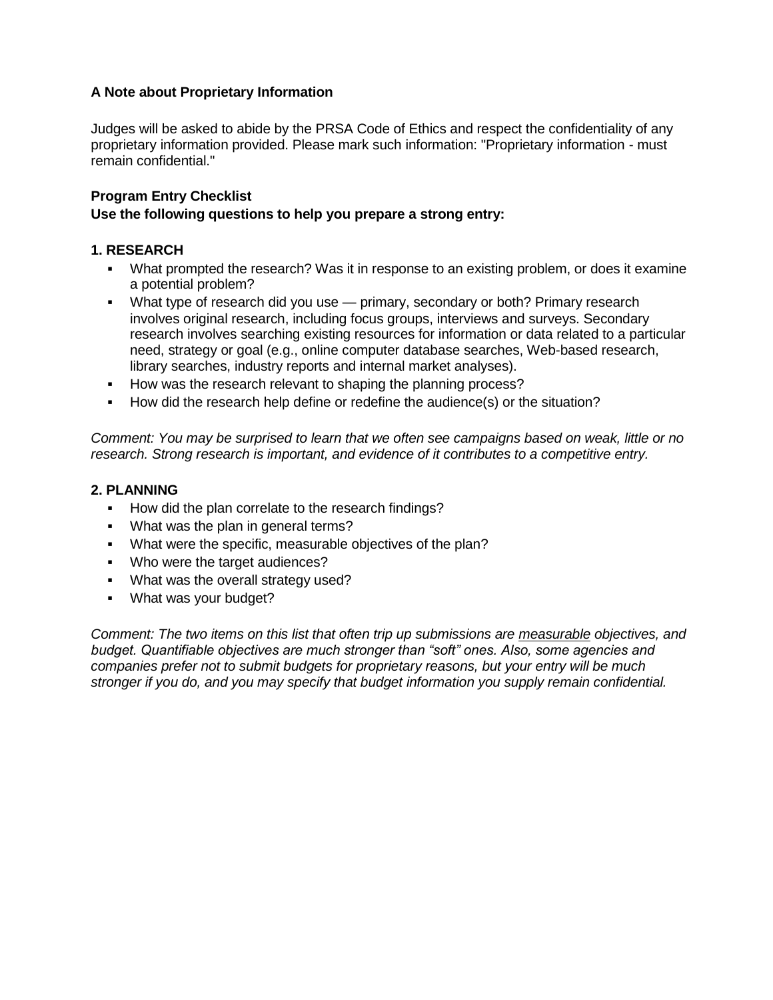## **A Note about Proprietary Information**

Judges will be asked to abide by the PRSA Code of Ethics and respect the confidentiality of any proprietary information provided. Please mark such information: "Proprietary information - must remain confidential."

## **Program Entry Checklist**

#### **Use the following questions to help you prepare a strong entry:**

#### **1. RESEARCH**

- What prompted the research? Was it in response to an existing problem, or does it examine a potential problem?
- What type of research did you use primary, secondary or both? Primary research involves original research, including focus groups, interviews and surveys. Secondary research involves searching existing resources for information or data related to a particular need, strategy or goal (e.g., online computer database searches, Web-based research, library searches, industry reports and internal market analyses).
- How was the research relevant to shaping the planning process?
- How did the research help define or redefine the audience(s) or the situation?

*Comment: You may be surprised to learn that we often see campaigns based on weak, little or no research. Strong research is important, and evidence of it contributes to a competitive entry.* 

#### **2. PLANNING**

- How did the plan correlate to the research findings?
- **What was the plan in general terms?**
- What were the specific, measurable objectives of the plan?
- **Who were the target audiences?**
- **What was the overall strategy used?**
- **What was your budget?**

*Comment: The two items on this list that often trip up submissions are measurable objectives, and budget. Quantifiable objectives are much stronger than "soft" ones. Also, some agencies and companies prefer not to submit budgets for proprietary reasons, but your entry will be much stronger if you do, and you may specify that budget information you supply remain confidential.*